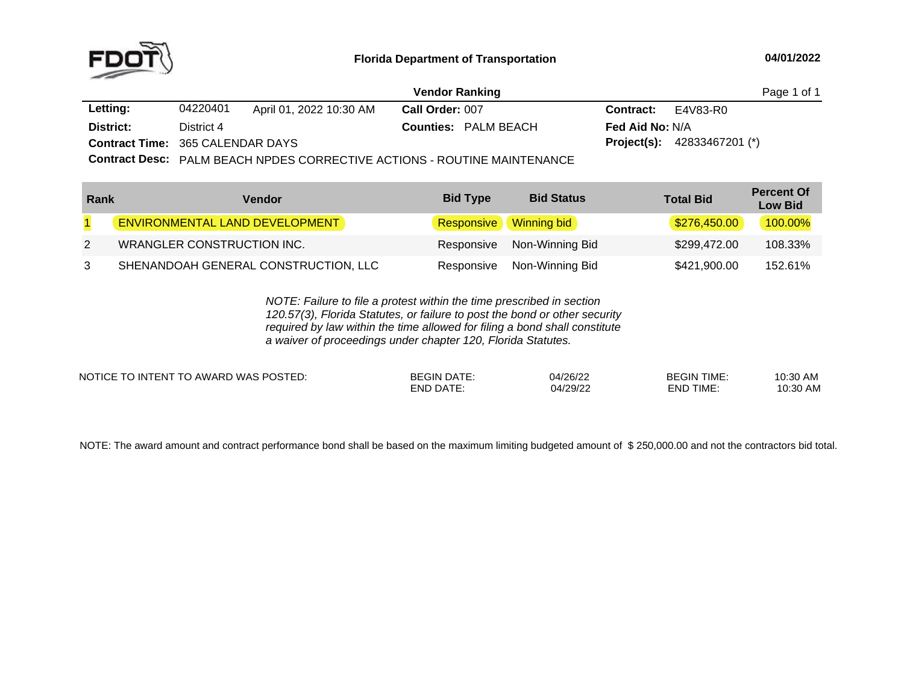

|                                         |            |                         | <b>Vendor Ranking</b>                                                                          |                                      | Page 1 of 1 |
|-----------------------------------------|------------|-------------------------|------------------------------------------------------------------------------------------------|--------------------------------------|-------------|
| <b>Letting:</b>                         | 04220401   | April 01, 2022 10:30 AM | Call Order: 007                                                                                | <b>Contract:</b> $E4V83-R0$          |             |
| District:                               | District 4 |                         | <b>Counties: PALM BEACH</b>                                                                    | <b>Fed Aid No: N/A</b>               |             |
| <b>Contract Time: 365 CALENDAR DAYS</b> |            |                         |                                                                                                | <b>Project(s):</b> $42833467201$ (*) |             |
|                                         |            |                         | $\Omega$ sulusal Danar Industrialistance og og predetive som over the content to be recognized |                                      |             |

**Contract Desc:** PALM BEACH NPDES CORRECTIVE ACTIONS - ROUTINE MAINTENANCE

| Rank | Vendor                                | <b>Bid Type</b> | <b>Bid Status</b>             | <b>Total Bid</b> | <b>Percent Of</b><br><b>Low Bid</b> |
|------|---------------------------------------|-----------------|-------------------------------|------------------|-------------------------------------|
|      | <b>ENVIRONMENTAL LAND DEVELOPMENT</b> |                 | <b>Responsive</b> Winning bid | \$276,450.00     | 100.00%                             |
| 2    | WRANGLER CONSTRUCTION INC.            |                 | Responsive Non-Winning Bid    | \$299,472.00     | 108.33%                             |
| 3    | SHENANDOAH GENERAL CONSTRUCTION, LLC  | Responsive      | Non-Winning Bid               | \$421,900.00     | 152.61%                             |

*NOTE: Failure to file <sup>a</sup> protest within the time prescribed in section 120.57(3), Florida Statutes, or failure to post the bond or other security required by law within the time allowed for filing <sup>a</sup> bond shall constitute a waiver of proceedings under chapter 120, Florida Statutes.*

| <b>NOTIC</b><br>:OSTFD<br>$\cdots$<br>. FNT<br>AWARL<br>IO IN<br>WAS.<br>- -<br>-- | GIN:<br>DAIE<br>or | 04/26/22<br>ے∠/0' | <b>BEGIN TIME</b>   | 10.30 AN.                  |
|------------------------------------------------------------------------------------|--------------------|-------------------|---------------------|----------------------------|
|                                                                                    | END<br>∣≀∆         | 10000<br>, , u    | <b>TIME</b><br>FND. | 0.22<br>10.3U<br>ப<br>AIV. |

NOTE: The award amount and contract performance bond shall be based on the maximum limiting budgeted amount of \$250,000.00 and not the contractors bid total.<br>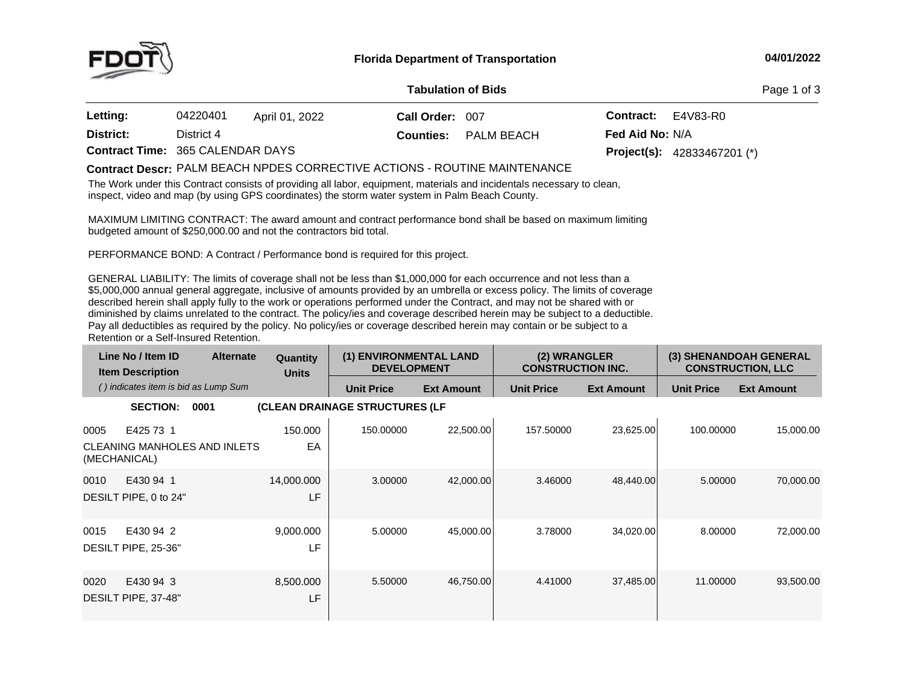

## **04/01/2022**

## **Tabulation**

Page 1 of 3

| <b>Letting:</b>                         | 04220401   | April 01, 2022 | Call Order: 007  |            | <b>Contract:</b>       | E4V83-R0                             |
|-----------------------------------------|------------|----------------|------------------|------------|------------------------|--------------------------------------|
| District:                               | District 4 |                | <b>Counties:</b> | PALM BEACH | <b>Fed Aid No: N/A</b> |                                      |
| <b>Contract Time: 365 CALENDAR DAYS</b> |            |                |                  |            |                        | <b>Project(s):</b> $42833467201$ (*) |

## PALM BEACH NPDES CORRECTIVE ACTIONS - ROUTINE MAINTENANCE **Contract Descr:**

The Work under this Contract consists of providing all labor, equipment, materials and incidentals necessary to clean, inspect, video and map (by using GPS coordinates) the storm water system in Palm Beach County.

MAXIMUM LIMITING CONTRACT: The award amount and contract performance bond shall be based on maximum limiting<br>budgeted amount of \$250,000,00 and pot the contractors bid total budgeted amount of \$250,000.00 and not the contractors bid total.

PERFORMANCE BOND: <sup>A</sup> Contract / Performance bond is required for this project.

GENERAL LIABILITY: The limits of coverage shall not be less than \$1,000,000 for each occurrence and not less than a<br>An access to all that \$5,000,000 annual general aggregate, inclusive of amounts provided by an umbrella or excess policy. The limits of coverage described herein shall apply fully to the work or operations performed under the Contract, and may not be shared with or diminished by claims unrelated to the contract. The policy/ies and coverage described herein may be subject to <sup>a</sup> deductible. Pay all deductibles as required by the policy. No policy/ies or coverage described herein may contain or be subject to <sup>a</sup> Retention or <sup>a</sup> Self-Insured Retention.

|                      | Line No / Item ID<br><b>Item Description</b> | <b>Alternate</b>                    | Quantity<br><b>Units</b> | (1) ENVIRONMENTAL LAND<br><b>DEVELOPMENT</b> |                   | (2) WRANGLER<br><b>CONSTRUCTION INC.</b> |                   |                   | (3) SHENANDOAH GENERAL<br><b>CONSTRUCTION, LLC</b> |
|----------------------|----------------------------------------------|-------------------------------------|--------------------------|----------------------------------------------|-------------------|------------------------------------------|-------------------|-------------------|----------------------------------------------------|
|                      | () indicates item is bid as Lump Sum         |                                     |                          | <b>Unit Price</b>                            | <b>Ext Amount</b> | <b>Unit Price</b>                        | <b>Ext Amount</b> | <b>Unit Price</b> | <b>Ext Amount</b>                                  |
|                      | <b>SECTION:</b>                              | 0001                                |                          | (CLEAN DRAINAGE STRUCTURES (LF               |                   |                                          |                   |                   |                                                    |
| 0005<br>(MECHANICAL) | E425 73 1                                    | <b>CLEANING MANHOLES AND INLETS</b> | 150.000<br>EA            | 150.00000                                    | 22,500.00         | 157.50000                                | 23,625.00         | 100.00000         | 15,000.00                                          |
| 0010                 | E430 94 1<br>DESILT PIPE, 0 to 24"           |                                     | 14,000.000<br>LF         | 3.00000                                      | 42,000.00         | 3.46000                                  | 48,440.00         | 5.00000           | 70,000.00                                          |
| 0015                 | E430 94 2<br>DESILT PIPE, 25-36"             |                                     | 9,000.000<br>LF          | 5.00000                                      | 45,000.00         | 3.78000                                  | 34,020.00         | 8.00000           | 72,000.00                                          |
| 0020                 | E430 94 3<br>DESILT PIPE, 37-48"             |                                     | 8,500.000<br>LF          | 5.50000                                      | 46,750.00         | 4.41000                                  | 37,485.00         | 11.00000          | 93,500.00                                          |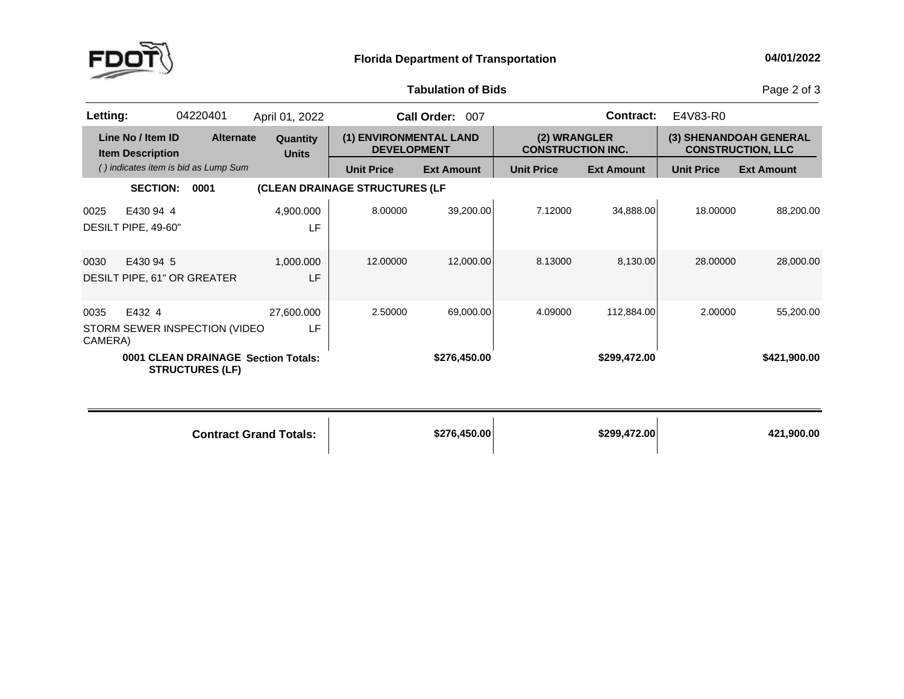

**Tabulation**

Page 2 of 3

| Letting:        |                                              | 04220401                                                      | April 01, 2022                |                                              | Call Order: 007   |                                          | Contract:         | E4V83-R0          |                                                    |
|-----------------|----------------------------------------------|---------------------------------------------------------------|-------------------------------|----------------------------------------------|-------------------|------------------------------------------|-------------------|-------------------|----------------------------------------------------|
|                 | Line No / Item ID<br><b>Item Description</b> | <b>Alternate</b>                                              | Quantity<br><b>Units</b>      | (1) ENVIRONMENTAL LAND<br><b>DEVELOPMENT</b> |                   | (2) WRANGLER<br><b>CONSTRUCTION INC.</b> |                   |                   | (3) SHENANDOAH GENERAL<br><b>CONSTRUCTION, LLC</b> |
|                 |                                              | () indicates item is bid as Lump Sum                          |                               | <b>Unit Price</b>                            | <b>Ext Amount</b> | <b>Unit Price</b>                        | <b>Ext Amount</b> | <b>Unit Price</b> | <b>Ext Amount</b>                                  |
|                 | <b>SECTION:</b>                              | 0001                                                          |                               | (CLEAN DRAINAGE STRUCTURES (LF               |                   |                                          |                   |                   |                                                    |
| 0025            | E430 94 4<br>DESILT PIPE, 49-60"             |                                                               | 4,900.000<br>LF               | 8.00000                                      | 39,200.00         | 7.12000                                  | 34,888.00         | 18.00000          | 88,200.00                                          |
| 0030            | E430 94 5<br>DESILT PIPE, 61" OR GREATER     |                                                               | 1,000.000<br>LF               | 12.00000                                     | 12,000.00         | 8.13000                                  | 8,130.00          | 28,00000          | 28,000.00                                          |
| 0035<br>CAMERA) | E432 4                                       | STORM SEWER INSPECTION (VIDEO                                 | 27,600.000<br>LF              | 2.50000                                      | 69,000.00         | 4.09000                                  | 112,884.00        | 2.00000           | 55,200.00                                          |
|                 |                                              | 0001 CLEAN DRAINAGE Section Totals:<br><b>STRUCTURES (LF)</b> |                               |                                              | \$276,450.00      |                                          | \$299,472.00      |                   | \$421,900.00                                       |
|                 |                                              |                                                               | <b>Contract Grand Totals:</b> |                                              | \$276,450.00      |                                          | \$299,472.00      |                   | 421,900.00                                         |